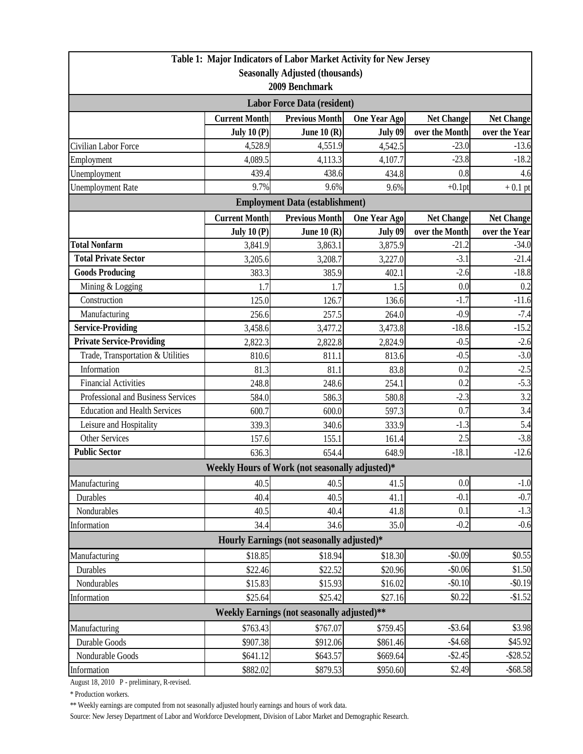|                                                                           |                      | Table 1: Major Indicators of Labor Market Activity for New Jersey |                     |                   |                   |  |  |  |
|---------------------------------------------------------------------------|----------------------|-------------------------------------------------------------------|---------------------|-------------------|-------------------|--|--|--|
| <b>Seasonally Adjusted (thousands)</b>                                    |                      |                                                                   |                     |                   |                   |  |  |  |
| 2009 Benchmark                                                            |                      |                                                                   |                     |                   |                   |  |  |  |
| <b>Labor Force Data (resident)</b>                                        |                      |                                                                   |                     |                   |                   |  |  |  |
|                                                                           | <b>Current Month</b> | <b>Previous Month</b>                                             | <b>One Year Ago</b> | <b>Net Change</b> | <b>Net Change</b> |  |  |  |
|                                                                           | July 10 $(P)$        | June $10(R)$                                                      | July 09             | over the Month    | over the Year     |  |  |  |
| Civilian Labor Force                                                      | 4,528.9              | 4,551.9                                                           | 4,542.5             | $-23.0$           | $-13.6$           |  |  |  |
| Employment                                                                | 4,089.5              | 4,113.3                                                           | 4,107.7             | $-23.8$           | $-18.2$           |  |  |  |
| Unemployment                                                              | 439.4                | 438.6                                                             | 434.8               | 0.8               | 4.6               |  |  |  |
| <b>Unemployment Rate</b>                                                  | 9.7%                 | 9.6%                                                              | 9.6%                | $+0.1$ pt         | $+0.1$ pt         |  |  |  |
|                                                                           |                      | <b>Employment Data (establishment)</b>                            |                     |                   |                   |  |  |  |
|                                                                           | <b>Current Month</b> | <b>Previous Month</b>                                             | <b>One Year Ago</b> | <b>Net Change</b> | <b>Net Change</b> |  |  |  |
|                                                                           | July $10(P)$         | June 10 $(R)$                                                     | July 09             | over the Month    | over the Year     |  |  |  |
| <b>Total Nonfarm</b>                                                      | 3,841.9              | 3,863.1                                                           | 3,875.9             | $-21.2$           | $-34.0$           |  |  |  |
| <b>Total Private Sector</b>                                               | 3,205.6              | 3,208.7                                                           | 3,227.0             | $-3.1$            | $-21.4$           |  |  |  |
| <b>Goods Producing</b>                                                    | 383.3                | 385.9                                                             | 402.1               | $-2.6$            | $-18.8$           |  |  |  |
| Mining & Logging                                                          | 1.7                  | 1.7                                                               | 1.5                 | 0.0               | 0.2               |  |  |  |
| Construction                                                              | 125.0                | 126.7                                                             | 136.6               | $-1.7$            | $-11.6$           |  |  |  |
| Manufacturing                                                             | 256.6                | 257.5                                                             | 264.0               | $-0.9$            | $-7.4$            |  |  |  |
| <b>Service-Providing</b>                                                  | 3,458.6              | 3,477.2                                                           | 3,473.8             | $-18.6$           | $-15.2$           |  |  |  |
| <b>Private Service-Providing</b>                                          | 2,822.3              | 2,822.8                                                           | 2,824.9             | $-0.5$            | $-2.6$            |  |  |  |
| Trade, Transportation & Utilities                                         | 810.6                | 811.1                                                             | 813.6               | $-0.5$            | $-3.0$            |  |  |  |
| Information                                                               | 81.3                 | 81.1                                                              | 83.8                | 0.2               | $-2.5$            |  |  |  |
| <b>Financial Activities</b>                                               | 248.8                | 248.6                                                             | 254.1               | 0.2               | $-5.3$            |  |  |  |
| Professional and Business Services                                        | 584.0                | 586.3                                                             | 580.8               | $-2.3$            | 3.2               |  |  |  |
| <b>Education and Health Services</b>                                      | 600.7                | 600.0                                                             | 597.3               | 0.7               | 3.4               |  |  |  |
| Leisure and Hospitality                                                   | 339.3                | 340.6                                                             | 333.9               | $-1.3$            | 5.4               |  |  |  |
| <b>Other Services</b>                                                     | 157.6                | 155.1                                                             | 161.4               | 2.5               | $-3.8$            |  |  |  |
| <b>Public Sector</b>                                                      | 636.3                | 654.4                                                             | 648.9               | $-18.1$           | $-12.6$           |  |  |  |
|                                                                           |                      | Weekly Hours of Work (not seasonally adjusted)*                   |                     |                   |                   |  |  |  |
| Manufacturing                                                             | 40.5                 | 40.5                                                              | 41.5                | 0.0               | $-1.0$            |  |  |  |
| Durables                                                                  | 40.4                 | 40.5                                                              | 41.1                | $-0.1$            | $-0.7$            |  |  |  |
| Nondurables                                                               | 40.5                 | 40.4                                                              | 41.8                | 0.1               | $-1.3$            |  |  |  |
| Information                                                               | 34.4                 | 34.6                                                              | 35.0                | $-0.2$            | $-0.6$            |  |  |  |
| Hourly Earnings (not seasonally adjusted)*                                |                      |                                                                   |                     |                   |                   |  |  |  |
| Manufacturing                                                             | \$18.85              | \$18.94                                                           | \$18.30             | $-$0.09$          | \$0.55            |  |  |  |
| Durables                                                                  | \$22.46              | \$22.52]                                                          | \$20.96             | $-$0.06$          | \$1.50            |  |  |  |
| Nondurables                                                               | \$15.83              | \$15.93                                                           | \$16.02             | $-$0.10$          | $-$0.19$          |  |  |  |
| Information                                                               | \$25.64              | \$25.42                                                           | \$27.16             | \$0.22            | $-$1.52$          |  |  |  |
| Weekly Earnings (not seasonally adjusted)**                               |                      |                                                                   |                     |                   |                   |  |  |  |
| $-$ \$3.64<br>\$3.98<br>\$763.43<br>\$767.07<br>\$759.45<br>Manufacturing |                      |                                                                   |                     |                   |                   |  |  |  |
| Durable Goods                                                             | \$907.38             | \$912.06                                                          | \$861.46            | $-$4.68$          | \$45.92           |  |  |  |
| Nondurable Goods                                                          | \$641.12             | \$643.57                                                          | \$669.64            | $-$2.45$          | $-$ \$28.52       |  |  |  |
| Information                                                               | \$882.02             | \$879.53                                                          | \$950.60            | \$2.49            | $-$ \$68.58       |  |  |  |

August 18, 2010 P - preliminary, R-revised.

\* Production workers.

\*\* Weekly earnings are computed from not seasonally adjusted hourly earnings and hours of work data.

Source: New Jersey Department of Labor and Workforce Development, Division of Labor Market and Demographic Research.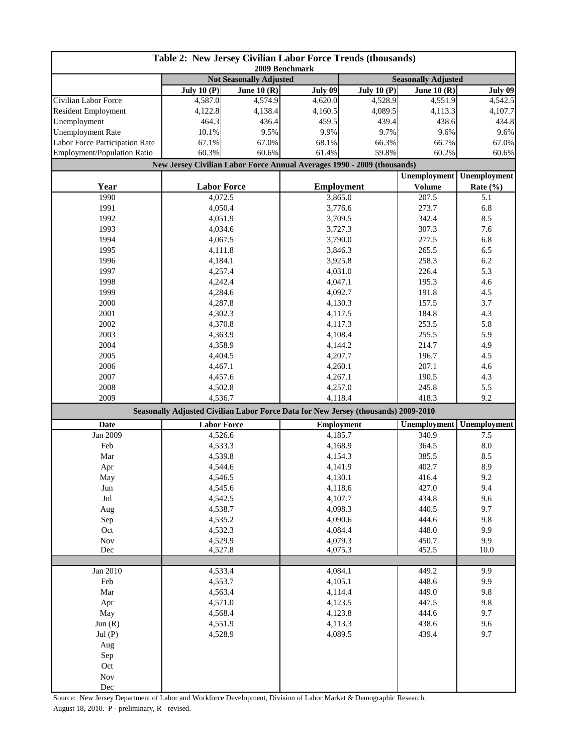| Table 2: New Jersey Civilian Labor Force Trends (thousands)<br>2009 Benchmark |                                                                                    |               |                   |                                 |                            |                     |  |
|-------------------------------------------------------------------------------|------------------------------------------------------------------------------------|---------------|-------------------|---------------------------------|----------------------------|---------------------|--|
|                                                                               | <b>Not Seasonally Adjusted</b>                                                     |               |                   |                                 | <b>Seasonally Adjusted</b> |                     |  |
|                                                                               | July $10(P)$                                                                       | June 10 $(R)$ | July 09           | $\overline{\text{July }10}$ (P) | June 10 $(R)$              | July 09             |  |
| Civilian Labor Force                                                          | 4,587.0                                                                            | 4,574.9       | 4,620.0           | 4,528.9                         | 4,551.9                    | 4,542.5             |  |
| <b>Resident Employment</b>                                                    | 4,122.8                                                                            | 4,138.4       | 4,160.5           | 4,089.5                         | 4,113.3                    | 4,107.7             |  |
| Unemployment                                                                  | 464.3                                                                              | 436.4         | 459.5             | 439.4                           | 438.6                      | 434.8               |  |
| <b>Unemployment Rate</b>                                                      | 10.1%                                                                              | 9.5%          | 9.9%              | 9.7%                            | 9.6%                       | 9.6%                |  |
| Labor Force Participation Rate                                                | 67.1%                                                                              | 67.0%         | 68.1%             | 66.3%                           | 66.7%                      | 67.0%               |  |
| Employment/Population Ratio                                                   | 60.3%                                                                              | 60.6%         | 61.4%             | 59.8%                           | 60.2%                      | 60.6%               |  |
|                                                                               | New Jersey Civilian Labor Force Annual Averages 1990 - 2009 (thousands)            |               |                   |                                 |                            |                     |  |
|                                                                               |                                                                                    |               |                   |                                 | <b>Unemployment</b>        | <b>Unemployment</b> |  |
| Year                                                                          | <b>Labor Force</b>                                                                 |               | <b>Employment</b> |                                 | <b>Volume</b>              | Rate $(\% )$        |  |
| 1990                                                                          | 4,072.5                                                                            |               | 3,865.0           |                                 | 207.5                      | 5.1                 |  |
| 1991                                                                          | 4,050.4                                                                            |               | 3,776.6           |                                 | 273.7                      | 6.8                 |  |
| 1992                                                                          | 4,051.9                                                                            |               | 3,709.5           |                                 | 342.4                      | 8.5                 |  |
| 1993                                                                          | 4,034.6                                                                            |               | 3,727.3           |                                 | 307.3                      | 7.6                 |  |
| 1994                                                                          | 4,067.5                                                                            |               | 3,790.0           |                                 | 277.5                      | 6.8                 |  |
| 1995                                                                          | 4,111.8                                                                            |               |                   | 3,846.3                         |                            | 6.5                 |  |
| 1996                                                                          | 4,184.1                                                                            |               | 3,925.8           |                                 | 258.3                      | 6.2                 |  |
| 1997                                                                          | 4,257.4                                                                            |               | 4,031.0           |                                 | 226.4                      | 5.3                 |  |
| 1998                                                                          | 4,242.4                                                                            |               | 4,047.1           |                                 | 195.3                      | 4.6                 |  |
| 1999                                                                          | 4,284.6                                                                            |               | 4,092.7           |                                 | 191.8                      | 4.5                 |  |
| 2000                                                                          | 4,287.8                                                                            |               | 4,130.3           |                                 | 157.5                      | 3.7                 |  |
| 2001                                                                          | 4,302.3                                                                            |               | 4,117.5           |                                 | 184.8                      | 4.3                 |  |
| 2002                                                                          | 4,370.8                                                                            |               | 4,117.3           |                                 | 253.5                      | 5.8                 |  |
| 2003                                                                          | 4,363.9                                                                            |               |                   | 4,108.4                         |                            | 5.9                 |  |
| 2004                                                                          | 4,358.9                                                                            |               | 4,144.2           |                                 | 255.5<br>214.7             | 4.9                 |  |
| 2005                                                                          | 4,404.5                                                                            |               | 4,207.7           |                                 | 196.7                      | 4.5                 |  |
| 2006                                                                          | 4,467.1                                                                            |               | 4,260.1           |                                 | 207.1                      | 4.6                 |  |
| 2007                                                                          | 4,457.6                                                                            |               | 4,267.1           |                                 | 190.5                      | 4.3                 |  |
| 2008                                                                          | 4,502.8                                                                            |               | 4,257.0           |                                 | 245.8                      | 5.5                 |  |
| 2009                                                                          | 4,536.7                                                                            |               | 4,118.4           |                                 | 418.3                      | 9.2                 |  |
|                                                                               | Seasonally Adjusted Civilian Labor Force Data for New Jersey (thousands) 2009-2010 |               |                   |                                 |                            |                     |  |
| Date                                                                          | <b>Labor Force</b>                                                                 |               | <b>Employment</b> |                                 | Unemployment               | Unemployment        |  |
| Jan 2009                                                                      | 4,526.6                                                                            |               | 4,185.7           |                                 | 340.9                      | 7.5                 |  |
| Feb                                                                           | 4,533.3                                                                            |               | 4,168.9           |                                 | 364.5                      | 8.0                 |  |
| Mar                                                                           | 4,539.8                                                                            |               | 4,154.3           |                                 | 385.5                      | 8.5                 |  |
| Apr                                                                           | 4,544.6                                                                            |               | 4,141.9           |                                 | 402.7                      | 8.9                 |  |
| May                                                                           | 4,546.5                                                                            |               | 4,130.1           |                                 | 416.4                      | 9.2                 |  |
| Jun                                                                           | 4,545.6                                                                            |               | 4,118.6           |                                 | 427.0                      | 9.4                 |  |
| $_{\rm{Jul}}$                                                                 | 4,542.5                                                                            |               | 4,107.7           |                                 | 434.8                      | 9.6                 |  |
| Aug                                                                           | 4,538.7                                                                            |               | 4,098.3           |                                 | 440.5                      | 9.7                 |  |
| Sep                                                                           | 4,535.2                                                                            |               | 4,090.6           |                                 | 444.6                      | 9.8                 |  |
| Oct                                                                           | 4,532.3                                                                            |               | 4,084.4           |                                 | 448.0                      | 9.9                 |  |
| Nov                                                                           | 4,529.9                                                                            |               | 4,079.3           |                                 | 450.7                      | 9.9                 |  |
| Dec                                                                           | 4,527.8                                                                            |               | 4,075.3           |                                 | 452.5                      | 10.0                |  |
|                                                                               |                                                                                    |               |                   |                                 |                            |                     |  |
| Jan 2010                                                                      | 4,533.4                                                                            |               | 4,084.1           |                                 | 449.2                      | 9.9                 |  |
| Feb                                                                           | 4,553.7                                                                            |               | 4,105.1           |                                 | 448.6                      | 9.9                 |  |
| Mar                                                                           | 4,563.4                                                                            |               | 4,114.4           |                                 | 449.0                      | 9.8                 |  |
| Apr                                                                           | 4,571.0                                                                            |               | 4,123.5           |                                 | 447.5                      | 9.8                 |  |
| May                                                                           | 4,568.4                                                                            |               | 4,123.8           |                                 | 444.6                      | 9.7                 |  |
| Jun(R)                                                                        | 4,551.9                                                                            |               | 4,113.3           |                                 | 438.6                      | 9.6                 |  |
| Jul(P)                                                                        | 4,528.9                                                                            |               | 4,089.5           |                                 | 439.4                      | 9.7                 |  |
| Aug                                                                           |                                                                                    |               |                   |                                 |                            |                     |  |
| Sep                                                                           |                                                                                    |               |                   |                                 |                            |                     |  |
| Oct                                                                           |                                                                                    |               |                   |                                 |                            |                     |  |
| <b>Nov</b>                                                                    |                                                                                    |               |                   |                                 |                            |                     |  |
| Dec                                                                           |                                                                                    |               |                   |                                 |                            |                     |  |

Source: New Jersey Department of Labor and Workforce Development, Division of Labor Market & Demographic Research. August 18, 2010. P - preliminary, R - revised.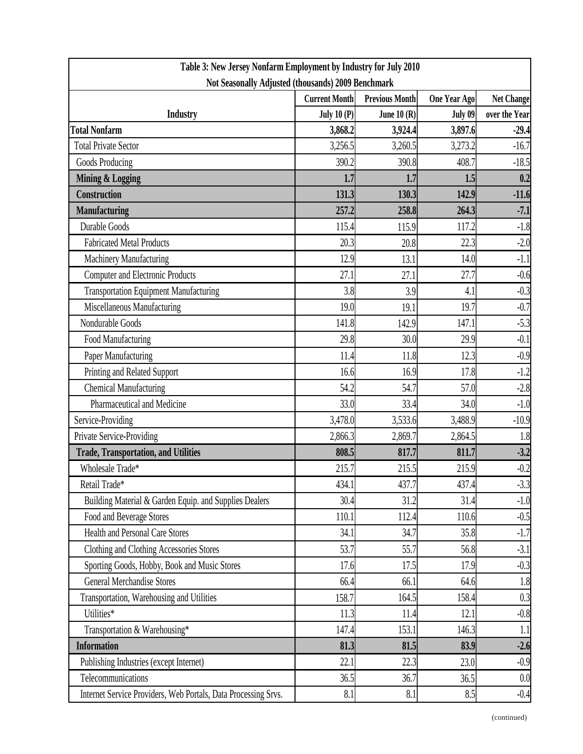| Table 3: New Jersey Nonfarm Employment by Industry for July 2010 |                      |                       |              |                   |  |  |
|------------------------------------------------------------------|----------------------|-----------------------|--------------|-------------------|--|--|
| Not Seasonally Adjusted (thousands) 2009 Benchmark               |                      |                       |              |                   |  |  |
|                                                                  | <b>Current Month</b> | <b>Previous Month</b> | One Year Ago | <b>Net Change</b> |  |  |
| <b>Industry</b>                                                  | <b>July 10 (P)</b>   | June $10(R)$          | July 09      | over the Year     |  |  |
| <b>Total Nonfarm</b>                                             | 3,868.2              | 3,924.4               | 3,897.6      | $-29.4$           |  |  |
| <b>Total Private Sector</b>                                      | 3,256.5              | 3,260.5               | 3,273.2      | $-16.7$           |  |  |
| Goods Producing                                                  | 390.2                | 390.8                 | 408.7        | $-18.5$           |  |  |
| <b>Mining &amp; Logging</b>                                      | 1.7                  | 1.7                   | 1.5          | 0.2               |  |  |
| Construction                                                     | 131.3                | 130.3                 | 142.9        | $-11.6$           |  |  |
| <b>Manufacturing</b>                                             | 257.2                | 258.8                 | 264.3        | $-7.1$            |  |  |
| Durable Goods                                                    | 115.4                | 115.9                 | 117.2        | $-1.8$            |  |  |
| <b>Fabricated Metal Products</b>                                 | 20.3                 | 20.8                  | 22.3         | $-2.0$            |  |  |
| Machinery Manufacturing                                          | 12.9                 | 13.1                  | 14.0         | $-1.1$            |  |  |
| <b>Computer and Electronic Products</b>                          | 27.1                 | 27.1                  | 27.7         | $-0.6$            |  |  |
| <b>Transportation Equipment Manufacturing</b>                    | 3.8                  | 3.9                   | 4.1          | $-0.3$            |  |  |
| Miscellaneous Manufacturing                                      | 19.0                 | 19.1                  | 19.7         | $-0.7$            |  |  |
| Nondurable Goods                                                 | 141.8                | 142.9                 | 147.1        | $-5.3$            |  |  |
| Food Manufacturing                                               | 29.8                 | 30.0                  | 29.9         | $-0.1$            |  |  |
| Paper Manufacturing                                              | 11.4                 | 11.8                  | 12.3         | $-0.9$            |  |  |
| Printing and Related Support                                     | 16.6                 | 16.9                  | 17.8         | $-1.2$            |  |  |
| <b>Chemical Manufacturing</b>                                    | 54.2                 | 54.7                  | 57.0         | $-2.8$            |  |  |
| Pharmaceutical and Medicine                                      | 33.0                 | 33.4                  | 34.0         | $-1.0$            |  |  |
| Service-Providing                                                | 3,478.0              | 3,533.6               | 3,488.9      | $-10.9$           |  |  |
| Private Service-Providing                                        | 2,866.3              | 2,869.7               | 2,864.5      | 1.8               |  |  |
| <b>Trade, Transportation, and Utilities</b>                      | 808.5                | 817.7                 | 811.7        | $-3.2$            |  |  |
| Wholesale Trade*                                                 | 215.7                | 215.5                 | 215.9        | $-0.2$            |  |  |
| Retail Trade*                                                    | 434.1                | 437.7                 | 437.4        | $-3.3$            |  |  |
| Building Material & Garden Equip. and Supplies Dealers           | 30.4                 | 31.2                  | 31.4         | $-1.0$            |  |  |
| Food and Beverage Stores                                         | 110.1                | 112.4                 | 110.6        | $-0.5$            |  |  |
| <b>Health and Personal Care Stores</b>                           | 34.1                 | 34.7                  | 35.8         | $-1.7$            |  |  |
| Clothing and Clothing Accessories Stores                         | 53.7                 | 55.7                  | 56.8         | $-3.1$            |  |  |
| Sporting Goods, Hobby, Book and Music Stores                     | 17.6                 | 17.5                  | 17.9         | $-0.3$            |  |  |
| <b>General Merchandise Stores</b>                                | 66.4                 | 66.1                  | 64.6         | 1.8               |  |  |
| Transportation, Warehousing and Utilities                        | 158.7                | 164.5                 | 158.4        | 0.3               |  |  |
| Utilities*                                                       | 11.3                 | 11.4                  | 12.1         | $-0.8$            |  |  |
| Transportation & Warehousing*                                    | 147.4                | 153.1                 | 146.3        | 1.1               |  |  |
| <b>Information</b>                                               | 81.3                 | 81.5                  | 83.9         | $-2.6$            |  |  |
| Publishing Industries (except Internet)                          | 22.1                 | 22.3                  | 23.0         | $-0.9$            |  |  |
| Telecommunications                                               | 36.5                 | 36.7                  | 36.5         | 0.0               |  |  |
| Internet Service Providers, Web Portals, Data Processing Srvs.   | 8.1                  | 8.1                   | 8.5          | $-0.4$            |  |  |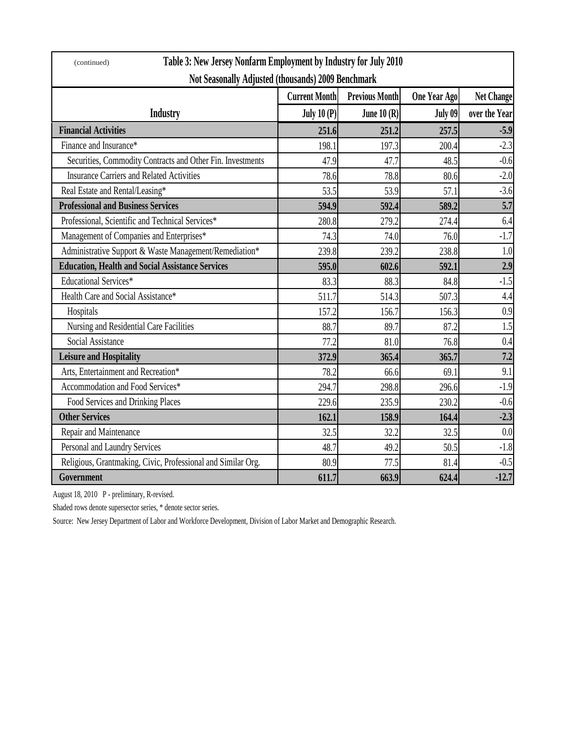| Table 3: New Jersey Nonfarm Employment by Industry for July 2010<br>(continued) |                      |                       |              |                   |  |  |
|---------------------------------------------------------------------------------|----------------------|-----------------------|--------------|-------------------|--|--|
| Not Seasonally Adjusted (thousands) 2009 Benchmark                              |                      |                       |              |                   |  |  |
|                                                                                 | <b>Current Month</b> | <b>Previous Month</b> | One Year Ago | <b>Net Change</b> |  |  |
| <b>Industry</b>                                                                 | July $10(P)$         | June $10(R)$          | July 09      | over the Year     |  |  |
| <b>Financial Activities</b>                                                     | 251.6                | 251.2                 | 257.5        | $-5.9$            |  |  |
| Finance and Insurance*                                                          | 198.1                | 197.3                 | 200.4        | $-2.3$            |  |  |
| Securities, Commodity Contracts and Other Fin. Investments                      | 47.9                 | 47.7                  | 48.5         | $-0.6$            |  |  |
| <b>Insurance Carriers and Related Activities</b>                                | 78.6                 | 78.8                  | 80.6         | $-2.0$            |  |  |
| Real Estate and Rental/Leasing*                                                 | 53.5                 | 53.9                  | 57.1         | $-3.6$            |  |  |
| <b>Professional and Business Services</b>                                       | 594.9                | 592.4                 | 589.2        | 5.7               |  |  |
| Professional, Scientific and Technical Services*                                | 280.8                | 279.2                 | 274.4        | 6.4               |  |  |
| Management of Companies and Enterprises*                                        | 74.3                 | 74.0                  | 76.0         | $-1.7$            |  |  |
| Administrative Support & Waste Management/Remediation*                          | 239.8                | 239.2                 | 238.8        | 1.0               |  |  |
| <b>Education, Health and Social Assistance Services</b>                         | 595.0                | 602.6                 | 592.1        | 2.9               |  |  |
| Educational Services*                                                           | 83.3                 | 88.3                  | 84.8         | $-1.5$            |  |  |
| Health Care and Social Assistance*                                              | 511.7                | 514.3                 | 507.3        | 4.4               |  |  |
| Hospitals                                                                       | 157.2                | 156.7                 | 156.3        | 0.9               |  |  |
| Nursing and Residential Care Facilities                                         | 88.7                 | 89.7                  | 87.2         | 1.5               |  |  |
| Social Assistance                                                               | 77.2                 | 81.0                  | 76.8         | 0.4               |  |  |
| <b>Leisure and Hospitality</b>                                                  | 372.9                | 365.4                 | 365.7        | 7.2               |  |  |
| Arts, Entertainment and Recreation*                                             | 78.2                 | 66.6                  | 69.1         | 9.1               |  |  |
| Accommodation and Food Services*                                                | 294.7                | 298.8                 | 296.6        | $-1.9$            |  |  |
| Food Services and Drinking Places                                               | 229.6                | 235.9                 | 230.2        | $-0.6$            |  |  |
| <b>Other Services</b>                                                           | 162.1                | 158.9                 | 164.4        | $-2.3$            |  |  |
| Repair and Maintenance                                                          | 32.5                 | 32.2                  | 32.5         | 0.0               |  |  |
| Personal and Laundry Services                                                   | 48.7                 | 49.2                  | 50.5         | $-1.8$            |  |  |
| Religious, Grantmaking, Civic, Professional and Similar Org.                    | 80.9                 | 77.5                  | 81.4         | $-0.5$            |  |  |
| Government                                                                      | 611.7                | 663.9                 | 624.4        | $-12.7$           |  |  |

August 18, 2010 P - preliminary, R-revised.

Shaded rows denote supersector series, \* denote sector series.

Source: New Jersey Department of Labor and Workforce Development, Division of Labor Market and Demographic Research.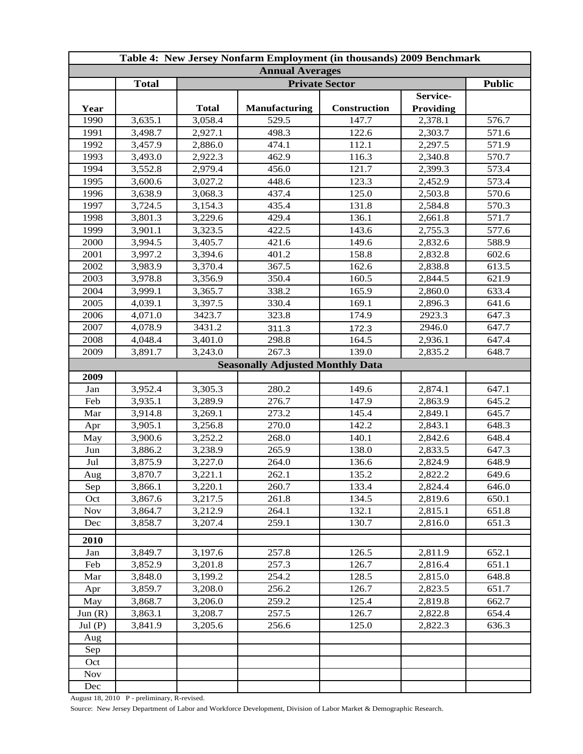| Table 4: New Jersey Nonfarm Employment (in thousands) 2009 Benchmark |              |                       |                                         |              |                  |       |  |
|----------------------------------------------------------------------|--------------|-----------------------|-----------------------------------------|--------------|------------------|-------|--|
| <b>Annual Averages</b>                                               |              |                       |                                         |              |                  |       |  |
|                                                                      | <b>Total</b> | <b>Private Sector</b> |                                         |              |                  |       |  |
|                                                                      |              |                       |                                         |              | Service-         |       |  |
| Year                                                                 |              | <b>Total</b>          | <b>Manufacturing</b>                    | Construction | <b>Providing</b> |       |  |
| 1990                                                                 | 3,635.1      | 3,058.4               | 529.5                                   | 147.7        | 2,378.1          | 576.7 |  |
| 1991                                                                 | 3,498.7      | 2,927.1               | 498.3                                   | 122.6        | 2,303.7          | 571.6 |  |
| 1992                                                                 | 3,457.9      | 2,886.0               | 474.1                                   | 112.1        | 2,297.5          | 571.9 |  |
| 1993                                                                 | 3,493.0      | 2,922.3               | 462.9                                   | 116.3        | 2,340.8          | 570.7 |  |
| 1994                                                                 | 3,552.8      | 2,979.4               | 456.0                                   | 121.7        | 2,399.3          | 573.4 |  |
| 1995                                                                 | 3,600.6      | 3,027.2               | 448.6                                   | 123.3        | 2,452.9          | 573.4 |  |
| 1996                                                                 | 3,638.9      | 3,068.3               | 437.4                                   | 125.0        | 2,503.8          | 570.6 |  |
| 1997                                                                 | 3,724.5      | 3,154.3               | 435.4                                   | 131.8        | 2,584.8          | 570.3 |  |
| 1998                                                                 | 3,801.3      | 3,229.6               | 429.4                                   | 136.1        | 2,661.8          | 571.7 |  |
| 1999                                                                 | 3,901.1      | 3,323.5               | 422.5                                   | 143.6        | 2,755.3          | 577.6 |  |
| 2000                                                                 | 3,994.5      | 3,405.7               | 421.6                                   | 149.6        | 2,832.6          | 588.9 |  |
| 2001                                                                 | 3,997.2      | 3,394.6               | 401.2                                   | 158.8        | 2,832.8          | 602.6 |  |
| 2002                                                                 | 3,983.9      | 3,370.4               | 367.5                                   | 162.6        | 2,838.8          | 613.5 |  |
| 2003                                                                 | 3,978.8      | 3,356.9               | 350.4                                   | 160.5        | 2,844.5          | 621.9 |  |
| 2004                                                                 | 3,999.1      | 3,365.7               | 338.2                                   | 165.9        | 2,860.0          | 633.4 |  |
| 2005                                                                 | 4,039.1      | 3,397.5               | 330.4                                   | 169.1        | 2,896.3          | 641.6 |  |
| 2006                                                                 | 4,071.0      | 3423.7                | 323.8                                   | 174.9        | 2923.3           | 647.3 |  |
| 2007                                                                 | 4,078.9      | 3431.2                | 311.3                                   | 172.3        | 2946.0           | 647.7 |  |
| 2008                                                                 | 4,048.4      | 3,401.0               | 298.8                                   | 164.5        | 2,936.1          | 647.4 |  |
| 2009                                                                 | 3,891.7      | 3,243.0               | 267.3                                   | 139.0        | 2,835.2          | 648.7 |  |
|                                                                      |              |                       | <b>Seasonally Adjusted Monthly Data</b> |              |                  |       |  |
| 2009                                                                 |              |                       |                                         |              |                  |       |  |
| Jan                                                                  | 3,952.4      | 3,305.3               | 280.2                                   | 149.6        | 2,874.1          | 647.1 |  |
| Feb                                                                  | 3,935.1      | 3,289.9               | 276.7                                   | 147.9        | 2,863.9          | 645.2 |  |
| Mar                                                                  | 3,914.8      | 3,269.1               | 273.2                                   | 145.4        | 2,849.1          | 645.7 |  |
| Apr                                                                  | 3,905.1      | 3,256.8               | 270.0                                   | 142.2        | 2,843.1          | 648.3 |  |
| May                                                                  | 3,900.6      | 3,252.2               | 268.0                                   | 140.1        | 2,842.6          | 648.4 |  |
| Jun                                                                  | 3,886.2      | 3,238.9               | 265.9                                   | 138.0        | 2,833.5          | 647.3 |  |
| Jul                                                                  | 3,875.9      | 3,227.0               | 264.0                                   | 136.6        | 2,824.9          | 648.9 |  |
| Aug                                                                  | 3,870.7      | 3,221.1               | 262.1                                   | 135.2        | 2,822.2          | 649.6 |  |
| Sep                                                                  | 3,866.1      | 3,220.1               | 260.7                                   | 133.4        | 2,824.4          | 646.0 |  |
| Oct                                                                  | 3,867.6      | 3,217.5               | 261.8                                   | 134.5        | 2,819.6          | 650.1 |  |
| <b>Nov</b>                                                           | 3,864.7      | 3,212.9               | 264.1                                   | 132.1        | 2,815.1          | 651.8 |  |
| Dec                                                                  | 3,858.7      | 3,207.4               | 259.1                                   | 130.7        | 2,816.0          | 651.3 |  |
| 2010                                                                 |              |                       |                                         |              |                  |       |  |
| Jan                                                                  | 3,849.7      | 3,197.6               | 257.8                                   | 126.5        | 2,811.9          | 652.1 |  |
| Feb                                                                  | 3,852.9      | 3,201.8               | 257.3                                   | 126.7        | 2,816.4          | 651.1 |  |
| Mar                                                                  | 3,848.0      | 3,199.2               | 254.2                                   | 128.5        | 2,815.0          | 648.8 |  |
| Apr                                                                  | 3,859.7      | 3,208.0               | 256.2                                   | 126.7        | 2,823.5          | 651.7 |  |
| May                                                                  | 3,868.7      | 3,206.0               | 259.2                                   | 125.4        | 2,819.8          | 662.7 |  |
| Jun(R)                                                               | 3,863.1      | 3,208.7               | 257.5                                   | 126.7        | 2,822.8          | 654.4 |  |
| Jul(P)                                                               | 3,841.9      | 3,205.6               | 256.6                                   | 125.0        | 2,822.3          | 636.3 |  |
| Aug                                                                  |              |                       |                                         |              |                  |       |  |
| Sep                                                                  |              |                       |                                         |              |                  |       |  |
| Oct                                                                  |              |                       |                                         |              |                  |       |  |
| <b>Nov</b>                                                           |              |                       |                                         |              |                  |       |  |
| Dec                                                                  |              |                       |                                         |              |                  |       |  |
|                                                                      |              |                       |                                         |              |                  |       |  |

August 18, 2010 P - preliminary, R-revised.

Source: New Jersey Department of Labor and Workforce Development, Division of Labor Market & Demographic Research.